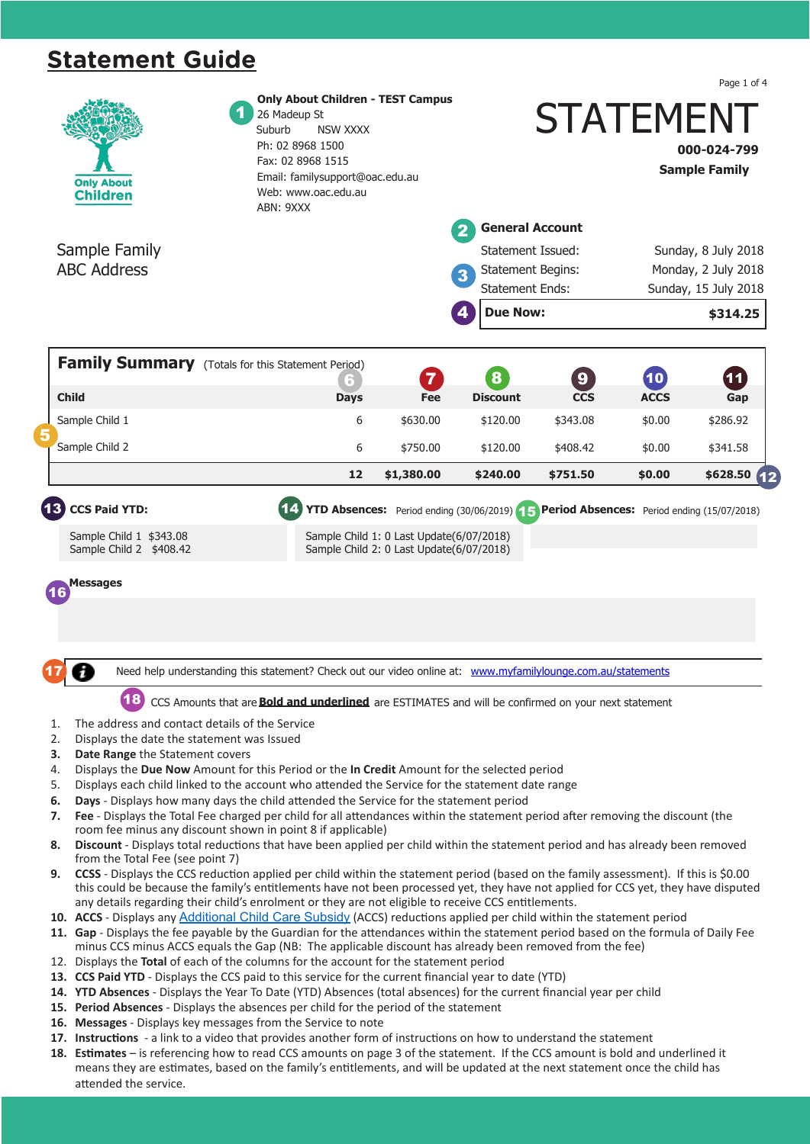# **Statement Guide**

|                                                                                                                                                                                                                                                               |                                                                                                                                                                                                                                                                                                               |                                                                                                                                                                                                       |            |                                                         |            |                          | Page 1 of 4                      |  |  |
|---------------------------------------------------------------------------------------------------------------------------------------------------------------------------------------------------------------------------------------------------------------|---------------------------------------------------------------------------------------------------------------------------------------------------------------------------------------------------------------------------------------------------------------------------------------------------------------|-------------------------------------------------------------------------------------------------------------------------------------------------------------------------------------------------------|------------|---------------------------------------------------------|------------|--------------------------|----------------------------------|--|--|
|                                                                                                                                                                                                                                                               | <b>Only About</b><br><b>Children</b>                                                                                                                                                                                                                                                                          | <b>Only About Children - TEST Campus</b><br>26 Madeup St<br>Suburb<br><b>NSW XXXX</b><br>Ph: 02 8968 1500<br>Fax: 02 8968 1515<br>Email: familysupport@oac.edu.au<br>Web: www.oac.edu.au<br>ABN: 9XXX |            | <b>STATEMENT</b><br>000-024-799<br><b>Sample Family</b> |            |                          |                                  |  |  |
|                                                                                                                                                                                                                                                               |                                                                                                                                                                                                                                                                                                               |                                                                                                                                                                                                       |            | <b>General Account</b>                                  |            |                          |                                  |  |  |
|                                                                                                                                                                                                                                                               | Sample Family                                                                                                                                                                                                                                                                                                 |                                                                                                                                                                                                       |            | Statement Issued:                                       |            |                          | Sunday, 8 July 2018              |  |  |
|                                                                                                                                                                                                                                                               | <b>ABC Address</b>                                                                                                                                                                                                                                                                                            |                                                                                                                                                                                                       |            | <b>Statement Begins:</b><br>3                           |            |                          | Monday, 2 July 2018              |  |  |
|                                                                                                                                                                                                                                                               |                                                                                                                                                                                                                                                                                                               |                                                                                                                                                                                                       |            | <b>Statement Ends:</b><br><b>Due Now:</b><br>4          |            |                          | Sunday, 15 July 2018<br>\$314.25 |  |  |
|                                                                                                                                                                                                                                                               | <b>Family Summary</b> (Totals for this Statement Period)                                                                                                                                                                                                                                                      |                                                                                                                                                                                                       |            |                                                         |            |                          |                                  |  |  |
|                                                                                                                                                                                                                                                               |                                                                                                                                                                                                                                                                                                               | 6                                                                                                                                                                                                     | 7          | 8                                                       | 9          | $\mathbf{\overline{10}}$ | (11)                             |  |  |
|                                                                                                                                                                                                                                                               | <b>Child</b>                                                                                                                                                                                                                                                                                                  | Days                                                                                                                                                                                                  | Fee        | <b>Discount</b>                                         | <b>CCS</b> | <b>ACCS</b>              | Gap                              |  |  |
|                                                                                                                                                                                                                                                               | Sample Child 1                                                                                                                                                                                                                                                                                                | 6                                                                                                                                                                                                     | \$630.00   | \$120.00                                                | \$343.08   | \$0.00                   | \$286.92                         |  |  |
|                                                                                                                                                                                                                                                               | Sample Child 2                                                                                                                                                                                                                                                                                                | 6                                                                                                                                                                                                     | \$750.00   | \$120.00                                                | \$408.42   | \$0.00                   | \$341.58                         |  |  |
|                                                                                                                                                                                                                                                               |                                                                                                                                                                                                                                                                                                               | 12                                                                                                                                                                                                    | \$1,380.00 | \$240.00                                                | \$751.50   | \$0.00                   | \$628.50<br>$\overline{12}$      |  |  |
| 16                                                                                                                                                                                                                                                            | Messages                                                                                                                                                                                                                                                                                                      | Need help understanding this statement? Check out our video online at: www.myfamilylounge.com.au/statements                                                                                           |            |                                                         |            |                          |                                  |  |  |
|                                                                                                                                                                                                                                                               |                                                                                                                                                                                                                                                                                                               | CCS Amounts that are <b>Bold and underlined</b> are ESTIMATES and will be confirmed on your next statement                                                                                            |            |                                                         |            |                          |                                  |  |  |
| 1.                                                                                                                                                                                                                                                            | The address and contact details of the Service                                                                                                                                                                                                                                                                |                                                                                                                                                                                                       |            |                                                         |            |                          |                                  |  |  |
| 2.<br>3.                                                                                                                                                                                                                                                      | Displays the date the statement was Issued<br>Date Range the Statement covers                                                                                                                                                                                                                                 |                                                                                                                                                                                                       |            |                                                         |            |                          |                                  |  |  |
| 4.                                                                                                                                                                                                                                                            | Displays the Due Now Amount for this Period or the In Credit Amount for the selected period                                                                                                                                                                                                                   |                                                                                                                                                                                                       |            |                                                         |            |                          |                                  |  |  |
| 5.                                                                                                                                                                                                                                                            | Displays each child linked to the account who attended the Service for the statement date range                                                                                                                                                                                                               |                                                                                                                                                                                                       |            |                                                         |            |                          |                                  |  |  |
| 6.<br>7.                                                                                                                                                                                                                                                      | Days - Displays how many days the child attended the Service for the statement period<br>Fee - Displays the Total Fee charged per child for all attendances within the statement period after removing the discount (the                                                                                      |                                                                                                                                                                                                       |            |                                                         |            |                          |                                  |  |  |
| 8.                                                                                                                                                                                                                                                            | room fee minus any discount shown in point 8 if applicable)<br>Discount - Displays total reductions that have been applied per child within the statement period and has already been removed                                                                                                                 |                                                                                                                                                                                                       |            |                                                         |            |                          |                                  |  |  |
| 9.                                                                                                                                                                                                                                                            | from the Total Fee (see point 7)<br>CCSS - Displays the CCS reduction applied per child within the statement period (based on the family assessment). If this is \$0.00<br>this could be because the family's entitlements have not been processed yet, they have not applied for CCS yet, they have disputed |                                                                                                                                                                                                       |            |                                                         |            |                          |                                  |  |  |
|                                                                                                                                                                                                                                                               | any details regarding their child's enrolment or they are not eligible to receive CCS entitlements.                                                                                                                                                                                                           |                                                                                                                                                                                                       |            |                                                         |            |                          |                                  |  |  |
| 10. ACCS - Displays any Additional Child Care Subsidy (ACCS) reductions applied per child within the statement period<br>11. Gap - Displays the fee payable by the Guardian for the attendances within the statement period based on the formula of Daily Fee |                                                                                                                                                                                                                                                                                                               |                                                                                                                                                                                                       |            |                                                         |            |                          |                                  |  |  |
|                                                                                                                                                                                                                                                               | minus CCS minus ACCS equals the Gap (NB: The applicable discount has already been removed from the fee)                                                                                                                                                                                                       |                                                                                                                                                                                                       |            |                                                         |            |                          |                                  |  |  |
|                                                                                                                                                                                                                                                               | 12. Displays the Total of each of the columns for the account for the statement period                                                                                                                                                                                                                        |                                                                                                                                                                                                       |            |                                                         |            |                          |                                  |  |  |
|                                                                                                                                                                                                                                                               | 13. CCS Paid YTD - Displays the CCS paid to this service for the current financial year to date (YTD)<br>14. YTD Absences - Displays the Year To Date (YTD) Absences (total absences) for the current financial year per child                                                                                |                                                                                                                                                                                                       |            |                                                         |            |                          |                                  |  |  |
|                                                                                                                                                                                                                                                               | 15. Period Absences - Displays the absences per child for the period of the statement                                                                                                                                                                                                                         |                                                                                                                                                                                                       |            |                                                         |            |                          |                                  |  |  |
|                                                                                                                                                                                                                                                               | 16. Messages - Displays key messages from the Service to note                                                                                                                                                                                                                                                 |                                                                                                                                                                                                       |            |                                                         |            |                          |                                  |  |  |

**Only About Children - Warriewood Campus**

- **17. Instructions**  a link to a video that provides another form of instructions on how to understand the statement
- Need the service. Check out our video online at: www.myfamilylounge.com.au/statements.com.au/statements.com.au/statements.com.au/statements.com.au/statements.com.au/statements.com/statements.com/statements.com/statements.c 18. Estimates – is referencing how to read CCS amounts on page 3 of the statement. If the CCS amount is bold and underlined it CCS Amounts that are **Bold and underlined** are ESTIMATES and will be confirmed on your next statement means they are estimates, based on the family's entitlements, and will be updated at the next statement once the child has attended the service.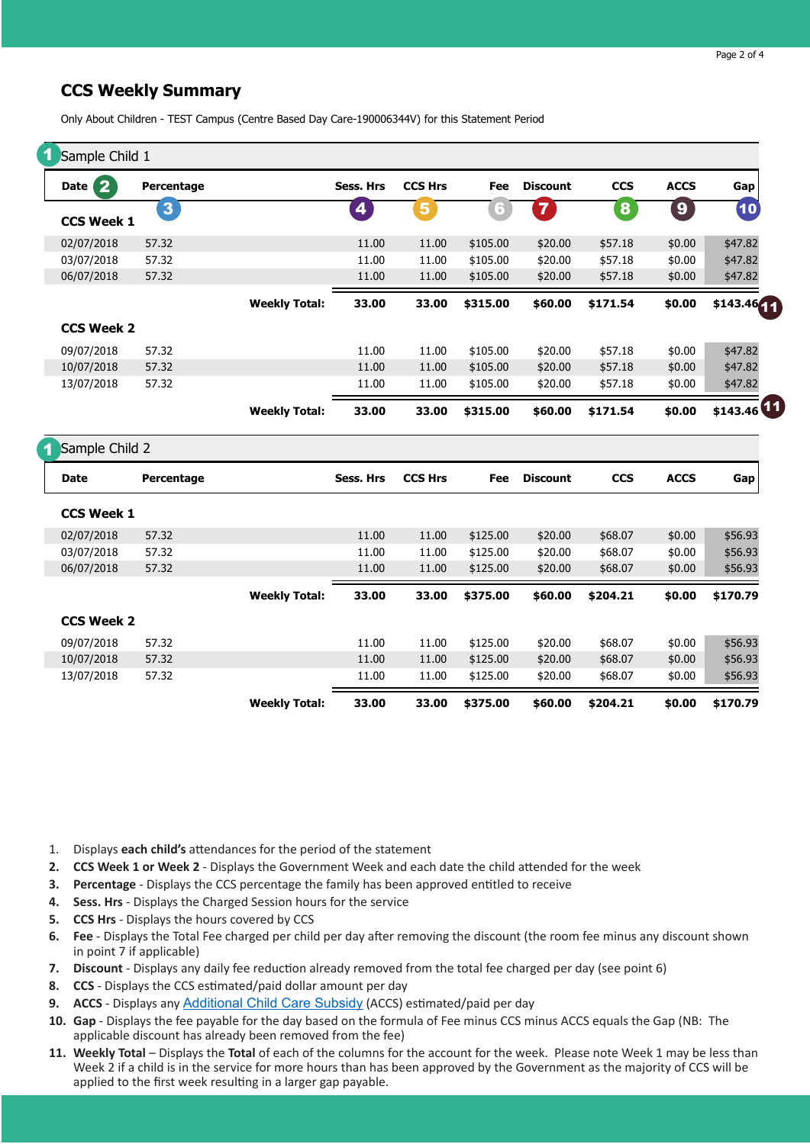## **CCS Weekly Summary**

|  |  |  |  | Only About Children - TEST Campus (Centre Based Day Care-190006344V) for this Statement Period |
|--|--|--|--|------------------------------------------------------------------------------------------------|
|--|--|--|--|------------------------------------------------------------------------------------------------|

| 1 Sample Child 1         |                         |                      |           |                |          |                 |                  |                  |             |
|--------------------------|-------------------------|----------------------|-----------|----------------|----------|-----------------|------------------|------------------|-------------|
| $\overline{2}$<br>Date ( | Percentage              |                      | Sess. Hrs | <b>CCS Hrs</b> | Fee      | <b>Discount</b> | <b>CCS</b>       | <b>ACCS</b>      | Gap         |
| <b>CCS Week 1</b>        | $\overline{\mathbf{3}}$ |                      | 4         | 5              | 6        | $\overline{7}$  | $\boldsymbol{8}$ | $\boldsymbol{9}$ | (10)        |
| 02/07/2018               | 57.32                   |                      | 11.00     | 11.00          | \$105.00 | \$20.00         | \$57.18          | \$0.00           | \$47.82     |
| 03/07/2018               | 57.32                   |                      | 11.00     | 11.00          | \$105.00 | \$20.00         | \$57.18          | \$0.00           | \$47.82     |
| 06/07/2018               | 57.32                   |                      | 11.00     | 11.00          | \$105.00 | \$20.00         | \$57.18          | \$0.00           | \$47.82     |
|                          |                         | <b>Weekly Total:</b> | 33.00     | 33.00          | \$315.00 | \$60.00         | \$171.54         | \$0.00           | \$143.46441 |
| <b>CCS Week 2</b>        |                         |                      |           |                |          |                 |                  |                  |             |
| 09/07/2018               | 57.32                   |                      | 11.00     | 11.00          | \$105.00 | \$20.00         | \$57.18          | \$0.00           | \$47.82     |
| 10/07/2018               | 57.32                   |                      | 11.00     | 11.00          | \$105.00 | \$20.00         | \$57.18          | \$0.00           | \$47.82     |
| 13/07/2018               | 57.32                   |                      | 11.00     | 11.00          | \$105.00 | \$20.00         | \$57.18          | \$0.00           | \$47.82     |
|                          |                         | <b>Weekly Total:</b> | 33.00     | 33.00          | \$315.00 | \$60.00         | \$171.54         | \$0.00           | \$143.46    |
| Sample Child 2           |                         |                      |           |                |          |                 |                  |                  |             |
| <b>Date</b>              | Percentage              |                      | Sess. Hrs | <b>CCS Hrs</b> | Fee      | <b>Discount</b> | <b>CCS</b>       | <b>ACCS</b>      | Gap         |
| <b>CCS Week 1</b>        |                         |                      |           |                |          |                 |                  |                  |             |
| 02/07/2018               | 57.32                   |                      | 11.00     | 11.00          | \$125.00 | \$20.00         | \$68.07          | \$0.00           | \$56.93     |
| 03/07/2018               | 57.32                   |                      | 11.00     | 11.00          | \$125.00 | \$20.00         | \$68.07          | \$0.00           | \$56.93     |
| 06/07/2018               | 57.32                   |                      | 11.00     | 11.00          | \$125.00 | \$20.00         | \$68.07          | \$0.00           | \$56.93     |
|                          |                         | <b>Weekly Total:</b> | 33.00     | 33.00          | \$375.00 | \$60.00         | \$204.21         | \$0.00           | \$170.79    |
| <b>CCS Week 2</b>        |                         |                      |           |                |          |                 |                  |                  |             |
| 09/07/2018               | 57.32                   |                      | 11.00     | 11.00          | \$125.00 | \$20.00         | \$68.07          | \$0.00           | \$56.93     |
| 10/07/2018               | 57.32                   |                      | 11.00     | 11.00          | \$125.00 | \$20.00         | \$68.07          | \$0.00           | \$56.93     |
| 13/07/2018               | 57.32                   |                      | 11.00     | 11.00          | \$125.00 | \$20.00         | \$68.07          | \$0.00           | \$56.93     |
|                          |                         | <b>Weekly Total:</b> | 33.00     | 33.00          | \$375.00 | \$60.00         | \$204.21         | \$0.00           | \$170.79    |

- 1. Displays **each child's** attendances for the period of the statement
- **2. CCS Week 1 or Week 2**  Displays the Government Week and each date the child attended for the week
- **3. Percentage**  Displays the CCS percentage the family has been approved entitled to receive
- **4. Sess. Hrs**  Displays the Charged Session hours for the service
- **5. CCS Hrs**  Displays the hours covered by CCS
- **6. Fee**  Displays the Total Fee charged per child per day after removing the discount (the room fee minus any discount shown in point 7 if applicable)
- **7. Discount**  Displays any daily fee reduction already removed from the total fee charged per day (see point 6)
- **8. CCS**  Displays the CCS estimated/paid dollar amount per day
- **9. ACCS**  Displays any [Additional Child Care Subsidy](https://www.humanservices.gov.au/individuals/services/centrelink/additional-child-care-subsidy) (ACCS) estimated/paid per day
- **10. Gap**  Displays the fee payable for the day based on the formula of Fee minus CCS minus ACCS equals the Gap (NB: The applicable discount has already been removed from the fee)
- **11. Weekly Total**  Displays the **Total** of each of the columns for the account for the week. Please note Week 1 may be less than Week 2 if a child is in the service for more hours than has been approved by the Government as the majority of CCS will be applied to the first week resulting in a larger gap payable.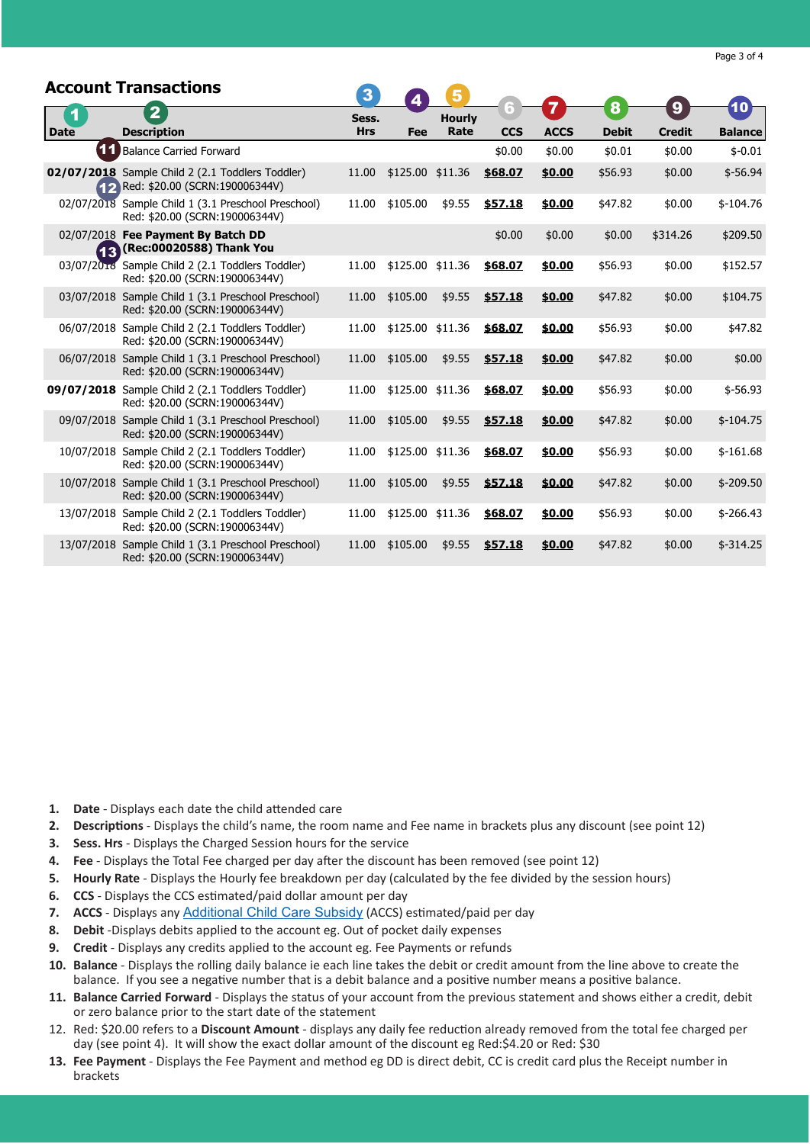|             | <b>Account Transactions</b>                                                           | $\overline{\mathbf{3}}$ | $\boldsymbol{A}$ |               | Ħ          | 7           | 8            | 9             | 10 <sub>1</sub> |
|-------------|---------------------------------------------------------------------------------------|-------------------------|------------------|---------------|------------|-------------|--------------|---------------|-----------------|
| 1           | $\overline{2}$                                                                        | Sess.                   |                  | <b>Hourly</b> |            |             |              |               |                 |
| <b>Date</b> | <b>Description</b>                                                                    | <b>Hrs</b>              | Fee              | Rate          | <b>CCS</b> | <b>ACCS</b> | <b>Debit</b> | <b>Credit</b> | <b>Balance</b>  |
|             | <b>11</b> Balance Carried Forward                                                     |                         |                  |               | \$0.00     | \$0.00      | \$0.01       | \$0.00        | $$-0.01$        |
|             | 02/07/2018 Sample Child 2 (2.1 Toddlers Toddler)<br>Red: \$20.00 (SCRN:190006344V)    | 11.00                   | \$125.00 \$11.36 |               | \$68.07    | \$0.00      | \$56.93      | \$0.00        | $$-56.94$       |
|             | 02/07/2018 Sample Child 1 (3.1 Preschool Preschool)<br>Red: \$20.00 (SCRN:190006344V) | 11.00                   | \$105.00         | \$9.55        | \$57.18    | \$0.00      | \$47.82      | \$0.00        | $$-104.76$      |
|             | 02/07/2018 Fee Payment By Batch DD<br>(Rec:00020588) Thank You                        |                         |                  |               | \$0.00     | \$0.00      | \$0.00       | \$314.26      | \$209.50        |
|             | 03/07/2018 Sample Child 2 (2.1 Toddlers Toddler)<br>Red: \$20.00 (SCRN:190006344V)    | 11.00                   | \$125.00         | \$11.36       | \$68.07    | \$0.00      | \$56.93      | \$0.00        | \$152.57        |
|             | 03/07/2018 Sample Child 1 (3.1 Preschool Preschool)<br>Red: \$20.00 (SCRN:190006344V) | 11.00                   | \$105.00         | \$9.55        | \$57.18    | \$0.00      | \$47.82      | \$0.00        | \$104.75        |
|             | 06/07/2018 Sample Child 2 (2.1 Toddlers Toddler)<br>Red: \$20.00 (SCRN:190006344V)    | 11.00                   | \$125.00 \$11.36 |               | \$68.07    | \$0.00      | \$56.93      | \$0.00        | \$47.82         |
|             | 06/07/2018 Sample Child 1 (3.1 Preschool Preschool)<br>Red: \$20.00 (SCRN:190006344V) | 11.00                   | \$105.00         | \$9.55        | \$57.18    | \$0.00      | \$47.82      | \$0.00        | \$0.00          |
|             | 09/07/2018 Sample Child 2 (2.1 Toddlers Toddler)<br>Red: \$20.00 (SCRN:190006344V)    | 11.00                   | \$125.00         | \$11.36       | \$68.07    | \$0.00      | \$56.93      | \$0.00        | $$-56.93$       |
|             | 09/07/2018 Sample Child 1 (3.1 Preschool Preschool)<br>Red: \$20.00 (SCRN:190006344V) | 11.00                   | \$105.00         | \$9.55        | \$57.18    | \$0.00      | \$47.82      | \$0.00        | $$-104.75$      |
|             | 10/07/2018 Sample Child 2 (2.1 Toddlers Toddler)<br>Red: \$20.00 (SCRN:190006344V)    | 11.00                   | \$125.00 \$11.36 |               | \$68.07    | \$0.00      | \$56.93      | \$0.00        | $$-161.68$      |
|             | 10/07/2018 Sample Child 1 (3.1 Preschool Preschool)<br>Red: \$20.00 (SCRN:190006344V) | 11.00                   | \$105.00         | \$9.55        | \$57.18    | \$0.00      | \$47.82      | \$0.00        | $$ -209.50$     |
|             | 13/07/2018 Sample Child 2 (2.1 Toddlers Toddler)<br>Red: \$20.00 (SCRN:190006344V)    | 11.00                   | \$125.00 \$11.36 |               | \$68.07    | \$0.00      | \$56.93      | \$0.00        | $$ -266.43$     |
|             | 13/07/2018 Sample Child 1 (3.1 Preschool Preschool)<br>Red: \$20.00 (SCRN:190006344V) | 11.00                   | \$105.00         | \$9.55        | \$57.18    | \$0.00      | \$47.82      | \$0.00        | $$-314.25$      |

- **1. Date**  Displays each date the child attended care
- **2. Descriptions**  Displays the child's name, the room name and Fee name in brackets plus any discount (see point 12)
- **3. Sess. Hrs**  Displays the Charged Session hours for the service
- **4. Fee**  Displays the Total Fee charged per day after the discount has been removed (see point 12)
- **5. Hourly Rate**  Displays the Hourly fee breakdown per day (calculated by the fee divided by the session hours)
- **6. CCS**  Displays the CCS estimated/paid dollar amount per day
- **7. ACCS** Displays any **[Additional Child Care Subsidy](https://www.humanservices.gov.au/individuals/services/centrelink/additional-child-care-subsidy)** (ACCS) estimated/paid per day
- **8. Debit** -Displays debits applied to the account eg. Out of pocket daily expenses
- **9. Credit**  Displays any credits applied to the account eg. Fee Payments or refunds
- **10. Balance**  Displays the rolling daily balance ie each line takes the debit or credit amount from the line above to create the balance. If you see a negative number that is a debit balance and a positive number means a positive balance.
- **11. Balance Carried Forward**  Displays the status of your account from the previous statement and shows either a credit, debit or zero balance prior to the start date of the statement
- 12. Red: \$20.00 refers to a **Discount Amount**  displays any daily fee reduction already removed from the total fee charged per day (see point 4). It will show the exact dollar amount of the discount eg Red:\$4.20 or Red: \$30
- **13. Fee Payment**  Displays the Fee Payment and method eg DD is direct debit, CC is credit card plus the Receipt number in brackets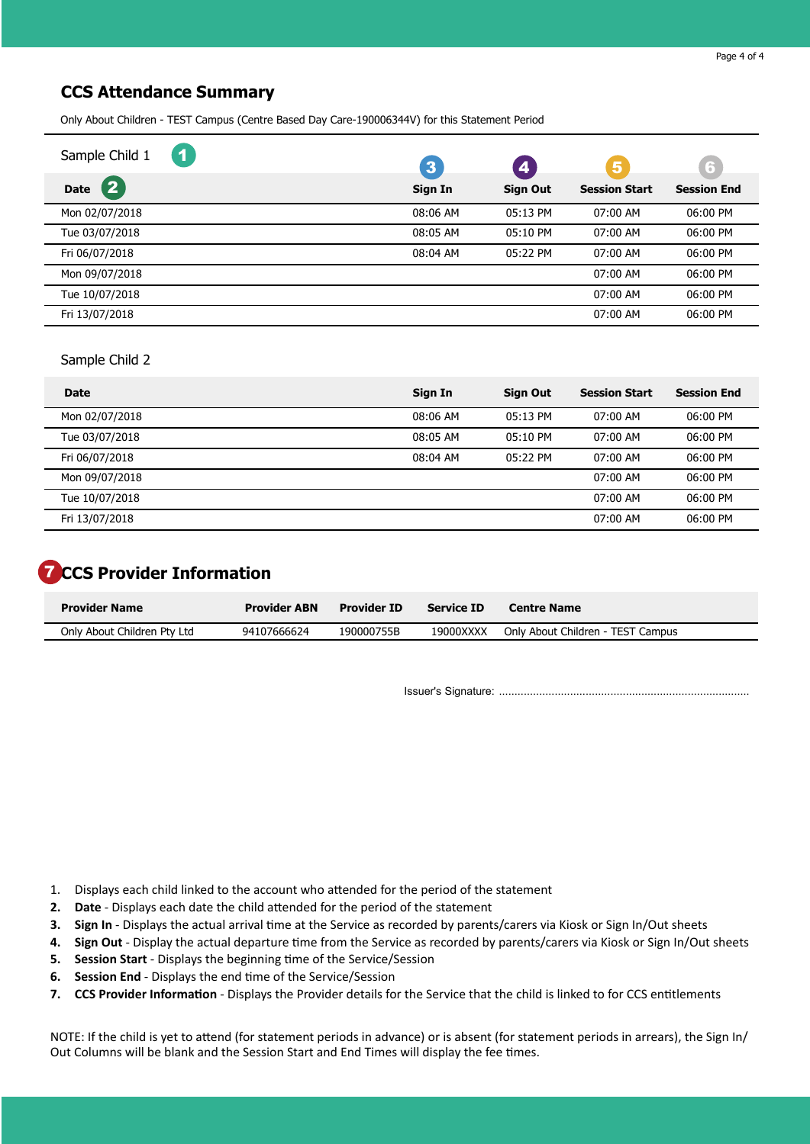## **CCS Attendance Summary**

Only About Children - TEST Campus (Centre Based Day Care-190006344V) for this Statement Period

| $\blacktriangleleft$<br>Sample Child 1 | $\mathbf{3}$ | $\boxed{4}$     | $\overline{\mathbf{5}}$ | $\sqrt{5}$         |
|----------------------------------------|--------------|-----------------|-------------------------|--------------------|
| $\overline{\mathbf{2}}$<br><b>Date</b> | Sign In      | <b>Sign Out</b> | <b>Session Start</b>    | <b>Session End</b> |
| Mon 02/07/2018                         | 08:06 AM     | 05:13 PM        | 07:00 AM                | 06:00 PM           |
| Tue 03/07/2018                         | 08:05 AM     | 05:10 PM        | 07:00 AM                | 06:00 PM           |
| Fri 06/07/2018                         | 08:04 AM     | 05:22 PM        | 07:00 AM                | 06:00 PM           |
| Mon 09/07/2018                         |              |                 | 07:00 AM                | 06:00 PM           |
| Tue 10/07/2018                         |              |                 | 07:00 AM                | 06:00 PM           |
| Fri 13/07/2018                         |              |                 | 07:00 AM                | 06:00 PM           |

#### Sample Child 2

| Date           | Sign In    | <b>Sign Out</b> | <b>Session Start</b> | <b>Session End</b> |
|----------------|------------|-----------------|----------------------|--------------------|
| Mon 02/07/2018 | 08:06 AM   | $05:13$ PM      | $07:00$ AM           | 06:00 PM           |
| Tue 03/07/2018 | $08:05$ AM | $05:10$ PM      | $07:00$ AM           | 06:00 PM           |
| Fri 06/07/2018 | 08:04 AM   | 05:22 PM        | 07:00 AM             | 06:00 PM           |
| Mon 09/07/2018 |            |                 | 07:00 AM             | 06:00 PM           |
| Tue 10/07/2018 |            |                 | 07:00 AM             | 06:00 PM           |
| Fri 13/07/2018 |            |                 | 07:00 AM             | 06:00 PM           |

# **T** CCS Provider Information

| <b>Provider Name</b>        | <b>Provider ABN</b> | <b>Provider ID</b> | <b>Service ID</b> | <b>Centre Name</b>                |
|-----------------------------|---------------------|--------------------|-------------------|-----------------------------------|
| Only About Children Pty Ltd | 94107666624         | 190000755B         | 19000XXXX         | Only About Children - TEST Campus |

Issuer's Signature: .................................................................................

- 1. Displays each child linked to the account who attended for the period of the statement
- **2. Date**  Displays each date the child attended for the period of the statement
- **3. Sign In**  Displays the actual arrival time at the Service as recorded by parents/carers via Kiosk or Sign In/Out sheets
- **4. Sign Out**  Display the actual departure time from the Service as recorded by parents/carers via Kiosk or Sign In/Out sheets
- **5. Session Start**  Displays the beginning time of the Service/Session
- **6. Session End**  Displays the end time of the Service/Session
- **7. CCS Provider Information**  Displays the Provider details for the Service that the child is linked to for CCS entitlements

NOTE: If the child is yet to attend (for statement periods in advance) or is absent (for statement periods in arrears), the Sign In/ Out Columns will be blank and the Session Start and End Times will display the fee times.